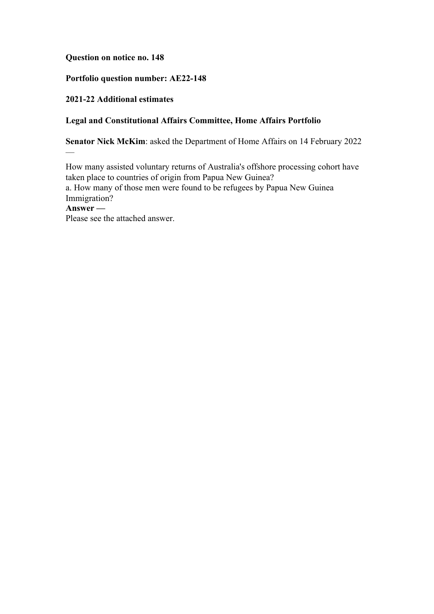## **Question on notice no. 148**

# **Portfolio question number: AE22-148**

## **2021-22 Additional estimates**

—

## **Legal and Constitutional Affairs Committee, Home Affairs Portfolio**

**Senator Nick McKim**: asked the Department of Home Affairs on 14 February 2022

How many assisted voluntary returns of Australia's offshore processing cohort have taken place to countries of origin from Papua New Guinea? a. How many of those men were found to be refugees by Papua New Guinea Immigration? **Answer —** Please see the attached answer.